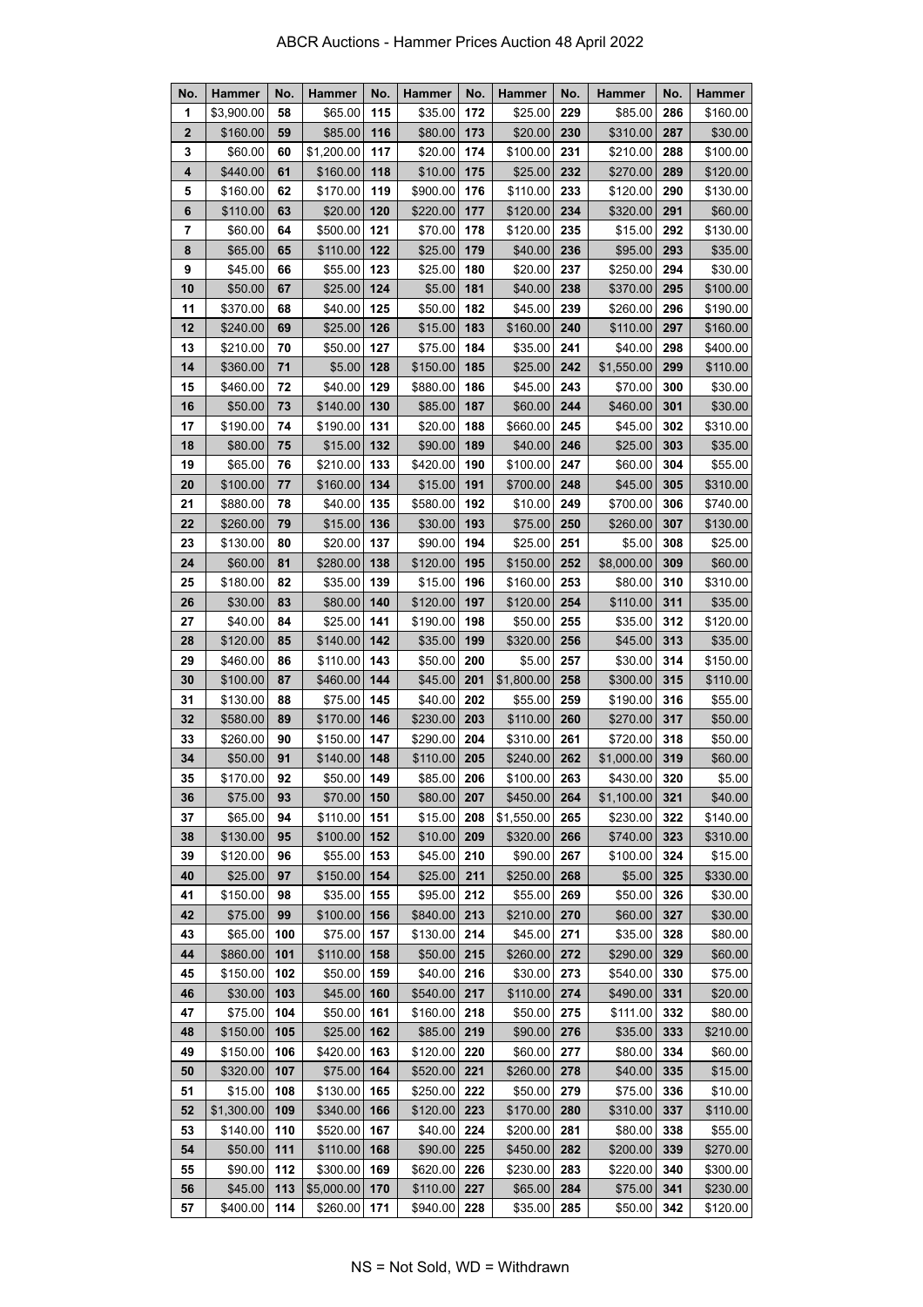| No.          | <b>Hammer</b>       | No.      | <b>Hammer</b>        | No.        | <b>Hammer</b>        | No.        | <b>Hammer</b>        | No.        | Hammer                 | No.        | <b>Hammer</b>      |
|--------------|---------------------|----------|----------------------|------------|----------------------|------------|----------------------|------------|------------------------|------------|--------------------|
| 1            | \$3,900.00          | 58       | \$65.00              | 115        | \$35.00              | 172        | \$25.00              | 229        | \$85.00                | 286        | \$160.00           |
| $\mathbf{2}$ | \$160.00            | 59       | \$85.00              | 116        | \$80.00              | 173        | \$20.00              | 230        | \$310.00               | 287        | \$30.00            |
| 3            | \$60.00             | 60       | \$1,200.00           | 117        | \$20.00              | 174        | \$100.00             | 231        | \$210.00               | 288        | \$100.00           |
| 4            | \$440.00            | 61       | \$160.00             | 118        | \$10.00              | 175        | \$25.00              | 232        | \$270.00               | 289        | \$120.00           |
| 5            | \$160.00            | 62       | \$170.00             | 119        | \$900.00             | 176        | \$110.00             | 233        | \$120.00               | 290        | \$130.00           |
| 6            | \$110.00            | 63       | \$20.00              | 120        | \$220.00             | 177        | \$120.00             | 234        | \$320.00               | 291        | \$60.00            |
| 7            | \$60.00             | 64       | \$500.00             | 121        | \$70.00              | 178        | \$120.00             | 235        | \$15.00                | 292        | \$130.00           |
| 8            | \$65.00             | 65       | \$110.00             | 122        | \$25.00              | 179        | \$40.00              | 236        | \$95.00                | 293        | \$35.00            |
| 9            | \$45.00             | 66       | \$55.00              | 123        | \$25.00              | 180        | \$20.00              | 237        | \$250.00               | 294        | \$30.00            |
| 10           | \$50.00             | 67       | \$25.00              | 124        | \$5.00               | 181        | \$40.00              | 238        | \$370.00               | 295        | \$100.00           |
| 11           | \$370.00            | 68       | \$40.00              | 125        | \$50.00              | 182        | \$45.00              | 239        | \$260.00               | 296        | \$190.00           |
| 12           | \$240.00            | 69       | \$25.00              | 126        | \$15.00              | 183        | \$160.00             | 240        | \$110.00               | 297        | \$160.00           |
| 13           | \$210.00            | 70       | \$50.00              | 127        | \$75.00              | 184        | \$35.00              | 241        | \$40.00                | 298        | \$400.00           |
| 14           | \$360.00            | 71       | \$5.00               | 128        | \$150.00             | 185        | \$25.00              | 242        | \$1,550.00             | 299        | \$110.00           |
| 15           | \$460.00            | 72       | \$40.00              | 129        | \$880.00             | 186        | \$45.00              | 243        | \$70.00                | 300        | \$30.00            |
| 16           | \$50.00             | 73       | \$140.00             | 130        | \$85.00              | 187        | \$60.00              | 244        | \$460.00               | 301        | \$30.00            |
| 17           | \$190.00            | 74       | \$190.00             | 131        | \$20.00              | 188        | \$660.00             | 245        | \$45.00                | 302        | \$310.00           |
| 18           | \$80.00             | 75       | \$15.00              | 132        | \$90.00              | 189        | \$40.00              | 246        | \$25.00                | 303        | \$35.00            |
| 19           | \$65.00             | 76       | \$210.00             | 133        | \$420.00             | 190        | \$100.00             | 247        | \$60.00                | 304        | \$55.00            |
| 20           | \$100.00            | 77       | \$160.00             | 134        | \$15.00              | 191        | \$700.00             | 248        | \$45.00                | 305        | \$310.00           |
| 21           | \$880.00            | 78       | \$40.00              | 135        | \$580.00             | 192        | \$10.00              | 249        | \$700.00               | 306        | \$740.00           |
| 22           | \$260.00            | 79       | \$15.00              | 136        | \$30.00              | 193        | \$75.00              | 250        | \$260.00               | 307        | \$130.00           |
| 23           | \$130.00            | 80       | \$20.00              | 137        | \$90.00              | 194        | \$25.00              | 251        | \$5.00                 | 308        | \$25.00            |
| 24           | \$60.00             | 81       | \$280.00             | 138        | \$120.00             | 195        | \$150.00             | 252        | \$8,000.00             | 309        | \$60.00            |
| 25           | \$180.00            | 82       | \$35.00              | 139        | \$15.00              | 196        | \$160.00             | 253        | \$80.00                | 310        | \$310.00           |
| 26           | \$30.00             | 83       | \$80.00              | 140        | \$120.00             | 197        | \$120.00             | 254        | \$110.00               | 311        | \$35.00            |
| 27           | \$40.00             | 84       | \$25.00              | 141        | \$190.00             | 198        | \$50.00              | 255        | \$35.00                | 312        | \$120.00           |
| 28           | \$120.00            | 85       | \$140.00             | 142        | \$35.00              | 199        | \$320.00             | 256        | \$45.00                | 313        | \$35.00            |
| 29           | \$460.00            | 86       | \$110.00             | 143        | \$50.00              | 200        | \$5.00               | 257        | \$30.00                | 314        | \$150.00           |
| 30           | \$100.00            | 87       | \$460.00             | 144        | \$45.00              | 201        | \$1,800.00           | 258        | \$300.00               | 315        | \$110.00           |
| 31           | \$130.00            | 88       | \$75.00              | 145        | \$40.00              | 202        | \$55.00              | 259        | \$190.00               | 316        | \$55.00            |
| 32           | \$580.00            | 89       | \$170.00             | 146        | \$230.00             | 203        | \$110.00             | 260        | \$270.00               | 317        | \$50.00            |
| 33<br>34     | \$260.00<br>\$50.00 | 90<br>91 | \$150.00<br>\$140.00 | 147<br>148 | \$290.00<br>\$110.00 | 204<br>205 | \$310.00<br>\$240.00 | 261<br>262 | \$720.00<br>\$1,000.00 | 318<br>319 | \$50.00<br>\$60.00 |
| 35           | \$170.00            | 92       | \$50.00              | 149        | \$85.00 206          |            | \$100.00             | 263        | \$430.00               | 320        | \$5.00             |
| 36           | \$75.00             | 93       | \$70.00              | 150        | \$80.00              | 207        | \$450.00             | 264        | \$1,100.00             | 321        | \$40.00            |
| 37           | \$65.00             | 94       | \$110.00             | 151        | \$15.00              | 208        | \$1,550.00           | 265        | \$230.00               | 322        | \$140.00           |
| 38           | \$130.00            | 95       | \$100.00             | 152        | \$10.00              | 209        | \$320.00             | 266        | \$740.00               | 323        | \$310.00           |
| 39           | \$120.00            | 96       | \$55.00              | 153        | \$45.00              | 210        | \$90.00              | 267        | \$100.00               | 324        | \$15.00            |
| 40           | \$25.00             | 97       | \$150.00             | 154        | \$25.00              | 211        | \$250.00             | 268        | \$5.00                 | 325        | \$330.00           |
| 41           | \$150.00            | 98       | \$35.00              | 155        | \$95.00              | 212        | \$55.00              | 269        | \$50.00                | 326        | \$30.00            |
| 42           | \$75.00             | 99       | \$100.00             | 156        | \$840.00             | 213        | \$210.00             | 270        | \$60.00                | 327        | \$30.00            |
| 43           | \$65.00             | 100      | \$75.00              | 157        | \$130.00             | 214        | \$45.00              | 271        | \$35.00                | 328        | \$80.00            |
| 44           | \$860.00            | 101      | \$110.00             | 158        | \$50.00              | 215        | \$260.00             | 272        | \$290.00               | 329        | \$60.00            |
| 45           | \$150.00            | 102      | \$50.00              | 159        | \$40.00              | 216        | \$30.00              | 273        | \$540.00               | 330        | \$75.00            |
| 46           | \$30.00             | 103      | \$45.00              | 160        | \$540.00             | 217        | \$110.00             | 274        | \$490.00               | 331        | \$20.00            |
| 47           | \$75.00             | 104      | \$50.00              | 161        | \$160.00             | 218        | \$50.00              | 275        | \$111.00               | 332        | \$80.00            |
| 48           | \$150.00            | 105      | \$25.00              | 162        | \$85.00              | 219        | \$90.00              | 276        | \$35.00                | 333        | \$210.00           |
| 49           | \$150.00            | 106      | \$420.00             | 163        | \$120.00             | 220        | \$60.00              | 277        | \$80.00                | 334        | \$60.00            |
| 50           | \$320.00            | 107      | \$75.00              | 164        | \$520.00             | 221        | \$260.00             | 278        | \$40.00                | 335        | \$15.00            |
| 51           | \$15.00             | 108      | \$130.00             | 165        | \$250.00             | 222        | \$50.00              | 279        | \$75.00                | 336        | \$10.00            |
| 52           | \$1,300.00          | 109      | \$340.00             | 166        | \$120.00             | 223        | \$170.00             | 280        | \$310.00               | 337        | \$110.00           |
| 53           | \$140.00            | 110      | \$520.00             | 167        | \$40.00              | 224        | \$200.00             | 281        | \$80.00                | 338        | \$55.00            |
| 54           | \$50.00             | 111      | \$110.00             | 168        | \$90.00              | 225        | \$450.00             | 282        | \$200.00               | 339        | \$270.00           |
| 55           | \$90.00             | 112      | \$300.00             | 169        | \$620.00             | 226        | \$230.00             | 283        | \$220.00               | 340        | \$300.00           |
| 56           | \$45.00             | 113      | \$5,000.00           | 170        | \$110.00             | 227        | \$65.00              | 284        | \$75.00                | 341        | \$230.00           |
| 57           | \$400.00            | 114      | \$260.00             | 171        | \$940.00             | 228        | \$35.00              | 285        | \$50.00                | 342        | \$120.00           |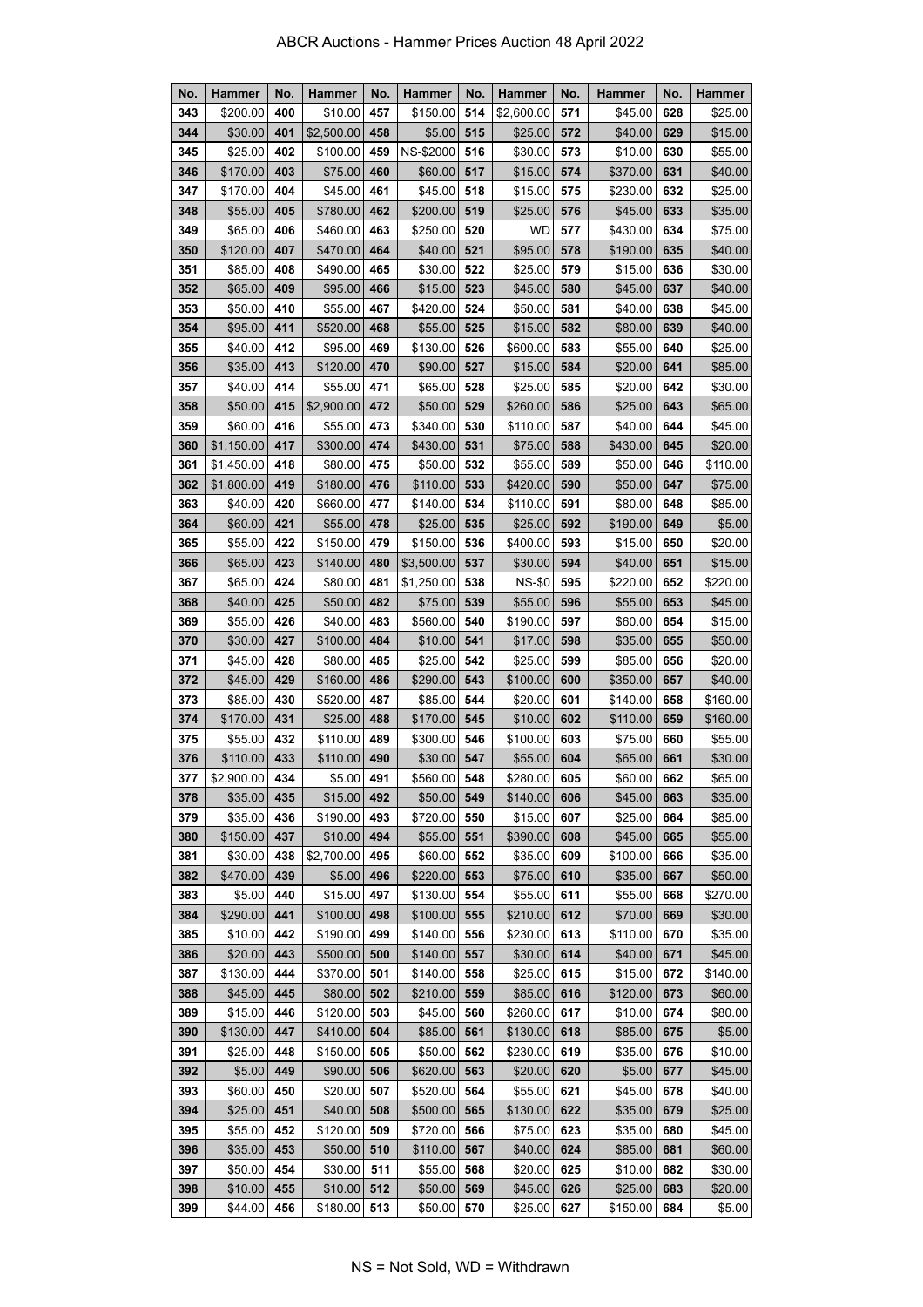| No.        | <b>Hammer</b>      | No.        | <b>Hammer</b>       | No.        | <b>Hammer</b>        | No.        | <b>Hammer</b>       | No.        | Hammer              | No.        | <b>Hammer</b>      |
|------------|--------------------|------------|---------------------|------------|----------------------|------------|---------------------|------------|---------------------|------------|--------------------|
| 343        | \$200.00           | 400        | \$10.00             | 457        | \$150.00             | 514        | \$2,600.00          | 571        | \$45.00             | 628        | \$25.00            |
| 344        | \$30.00            | 401        | \$2,500.00          | 458        | \$5.00               | 515        | \$25.00             | 572        | \$40.00             | 629        | \$15.00            |
| 345        | \$25.00            | 402        | \$100.00            | 459        | NS-\$2000            | 516        | \$30.00             | 573        | \$10.00             | 630        | \$55.00            |
| 346        | \$170.00           | 403        | \$75.00             | 460        | \$60.00              | 517        | \$15.00             | 574        | \$370.00            | 631        | \$40.00            |
| 347        | \$170.00           | 404        | \$45.00             | 461        | \$45.00              | 518        | \$15.00             | 575        | \$230.00            | 632        | \$25.00            |
| 348        | \$55.00            | 405        | \$780.00            | 462        | \$200.00             | 519        | \$25.00             | 576        | \$45.00             | 633        | \$35.00            |
| 349        | \$65.00            | 406        | \$460.00            | 463        | \$250.00             | 520        | <b>WD</b>           | 577        | \$430.00            | 634        | \$75.00            |
| 350        | \$120.00           | 407        | \$470.00            | 464        | \$40.00              | 521        | \$95.00             | 578        | \$190.00            | 635        | \$40.00            |
| 351        | \$85.00            | 408        | \$490.00            | 465        | \$30.00              | 522        | \$25.00             | 579        | \$15.00             | 636        | \$30.00            |
| 352        | \$65.00            | 409        | \$95.00             | 466        | \$15.00              | 523        | \$45.00             | 580        | \$45.00             | 637        | \$40.00            |
| 353        | \$50.00            | 410        | \$55.00             | 467        | \$420.00             | 524        | \$50.00             | 581        | \$40.00             | 638        | \$45.00            |
| 354        | \$95.00            | 411        | \$520.00            | 468        | \$55.00              | 525        | \$15.00             | 582        | \$80.00             | 639        | \$40.00            |
| 355        | \$40.00            | 412        | \$95.00             | 469        | \$130.00             | 526        | \$600.00            | 583        | \$55.00             | 640        | \$25.00            |
| 356        | \$35.00            | 413        | \$120.00            | 470        | \$90.00              | 527        | \$15.00             | 584        | \$20.00             | 641        | \$85.00            |
| 357        | \$40.00            | 414        | \$55.00             | 471        | \$65.00              | 528        | \$25.00             | 585        | \$20.00             | 642        | \$30.00            |
| 358        | \$50.00            | 415        | \$2,900.00          | 472        | \$50.00              | 529        | \$260.00            | 586        | \$25.00             | 643        | \$65.00            |
| 359        | \$60.00            | 416        | \$55.00             | 473        | \$340.00             | 530        | \$110.00            | 587        | \$40.00             | 644        | \$45.00            |
| 360        | \$1,150.00         | 417        | \$300.00            | 474        | \$430.00             | 531        | \$75.00             | 588        | \$430.00            | 645        | \$20.00            |
| 361        | \$1,450.00         | 418        | \$80.00             | 475        | \$50.00              | 532        | \$55.00             | 589        | \$50.00             | 646        | \$110.00           |
| 362        | \$1,800.00         | 419        | \$180.00            | 476        | \$110.00             | 533        | \$420.00            | 590        | \$50.00             | 647        | \$75.00            |
| 363        | \$40.00            | 420        | \$660.00            | 477        | \$140.00             | 534        | \$110.00            | 591        | \$80.00             | 648        | \$85.00            |
| 364        | \$60.00            | 421        | \$55.00             | 478        | \$25.00              | 535        | \$25.00             | 592        | \$190.00            | 649        | \$5.00             |
| 365        | \$55.00            | 422        | \$150.00            | 479        | \$150.00             | 536        | \$400.00            | 593        | \$15.00             | 650        | \$20.00            |
| 366        | \$65.00            | 423        | \$140.00            | 480        | \$3,500.00           | 537        | \$30.00             | 594        | \$40.00             | 651        | \$15.00            |
| 367        | \$65.00            | 424        | \$80.00             | 481        | \$1,250.00           | 538        | <b>NS-\$0</b>       | 595        | \$220.00            | 652        | \$220.00           |
| 368        | \$40.00            | 425        | \$50.00             | 482        | \$75.00              | 539        | \$55.00             | 596        | \$55.00             | 653        | \$45.00            |
| 369        | \$55.00            | 426        | \$40.00             | 483        | \$560.00             | 540        | \$190.00            | 597        | \$60.00             | 654        | \$15.00            |
| 370        | \$30.00            | 427        | \$100.00            | 484        | \$10.00              | 541        | \$17.00             | 598        | \$35.00             | 655        | \$50.00            |
| 371        | \$45.00            | 428        | \$80.00             | 485        | \$25.00              | 542        | \$25.00             | 599        | \$85.00             | 656        | \$20.00            |
| 372        | \$45.00            | 429        | \$160.00            | 486        | \$290.00             | 543        | \$100.00            | 600        | \$350.00            | 657        | \$40.00            |
| 373        | \$85.00            | 430        | \$520.00            | 487        | \$85.00              | 544        | \$20.00             | 601        | \$140.00            | 658        | \$160.00           |
| 374        | \$170.00           | 431        | \$25.00             | 488        | \$170.00             | 545        | \$10.00             | 602        | \$110.00            | 659        | \$160.00           |
| 375        | \$55.00            | 432        | \$110.00            | 489        | \$300.00             | 546        | \$100.00            | 603        | \$75.00             | 660        | \$55.00            |
| 376        | \$110.00           | 433        | \$110.00            | 490        | \$30.00              | 547        | \$55.00             | 604        | \$65.00             | 661        | \$30.00            |
| 377        | \$2,900.00         | 434        | $$5.00$ 491         |            | \$560.00 548         |            | \$280.00            | 605        | \$60.00             | 662        | \$65.00            |
| 378        | \$35.00            | 435        | \$15.00             | 492        | \$50.00              | 549        | \$140.00            | 606        | \$45.00             | 663        | \$35.00            |
| 379        | \$35.00            | 436        | \$190.00            | 493        | \$720.00             | 550        | \$15.00             | 607        | \$25.00             | 664        | \$85.00            |
| 380        | \$150.00           | 437        | \$10.00             | 494        | \$55.00              | 551        | \$390.00            | 608        | \$45.00             | 665        | \$55.00            |
| 381        | \$30.00            | 438        | \$2,700.00          | 495        | \$60.00              | 552        | \$35.00             | 609        | \$100.00            | 666        | \$35.00            |
| 382        | \$470.00           | 439        | \$5.00              | 496        | \$220.00             | 553        | \$75.00             | 610        | \$35.00             | 667        | \$50.00            |
| 383        | \$5.00             | 440        | \$15.00             | 497        | \$130.00             | 554        | \$55.00             | 611        | \$55.00             | 668        | \$270.00           |
| 384        | \$290.00           | 441        | \$100.00            | 498        | \$100.00             | 555        | \$210.00            | 612        | \$70.00             | 669        | \$30.00            |
| 385        | \$10.00            | 442        | \$190.00            | 499        | \$140.00             | 556        | \$230.00            | 613        | \$110.00            | 670        | \$35.00            |
| 386        | \$20.00            | 443        | \$500.00            | 500        | \$140.00             | 557        | \$30.00             | 614        | \$40.00             | 671        | \$45.00            |
| 387        | \$130.00           | 444        | \$370.00            | 501        | \$140.00             | 558        | \$25.00             | 615        | \$15.00             | 672        | \$140.00           |
| 388        | \$45.00            | 445        | \$80.00             | 502        | \$210.00             | 559        | \$85.00             | 616        | \$120.00            | 673        | \$60.00            |
| 389        | \$15.00            | 446        | \$120.00            | 503        | \$45.00              | 560        | \$260.00            | 617        | \$10.00             | 674        | \$80.00            |
| 390        | \$130.00           | 447        | \$410.00            | 504        | \$85.00              | 561        | \$130.00            | 618        | \$85.00             | 675        | \$5.00             |
| 391        | \$25.00            | 448        | \$150.00            | 505        | \$50.00              | 562        | \$230.00            | 619        | \$35.00             | 676        | \$10.00            |
| 392        | \$5.00             | 449        | \$90.00             | 506        | \$620.00             | 563        | \$20.00             | 620        | \$5.00              | 677        | \$45.00            |
| 393<br>394 | \$60.00<br>\$25.00 | 450        | \$20.00<br>\$40.00  | 507<br>508 | \$520.00             | 564<br>565 | \$55.00             | 621<br>622 | \$45.00             | 678<br>679 | \$40.00            |
| 395        | \$55.00            | 451<br>452 | \$120.00            | 509        | \$500.00<br>\$720.00 | 566        | \$130.00<br>\$75.00 | 623        | \$35.00<br>\$35.00  | 680        | \$25.00            |
| 396        | \$35.00            | 453        | \$50.00             | 510        | \$110.00             | 567        | \$40.00             | 624        | \$85.00             | 681        | \$45.00<br>\$60.00 |
| 397        | \$50.00            | 454        | \$30.00             | 511        | \$55.00              | 568        | \$20.00             | 625        | \$10.00             | 682        | \$30.00            |
|            | \$10.00            |            |                     | 512        |                      |            |                     | 626        |                     |            |                    |
| 398<br>399 | \$44.00            | 455<br>456 | \$10.00<br>\$180.00 | 513        | \$50.00<br>\$50.00   | 569<br>570 | \$45.00<br>\$25.00  | 627        | \$25.00<br>\$150.00 | 683<br>684 | \$20.00<br>\$5.00  |
|            |                    |            |                     |            |                      |            |                     |            |                     |            |                    |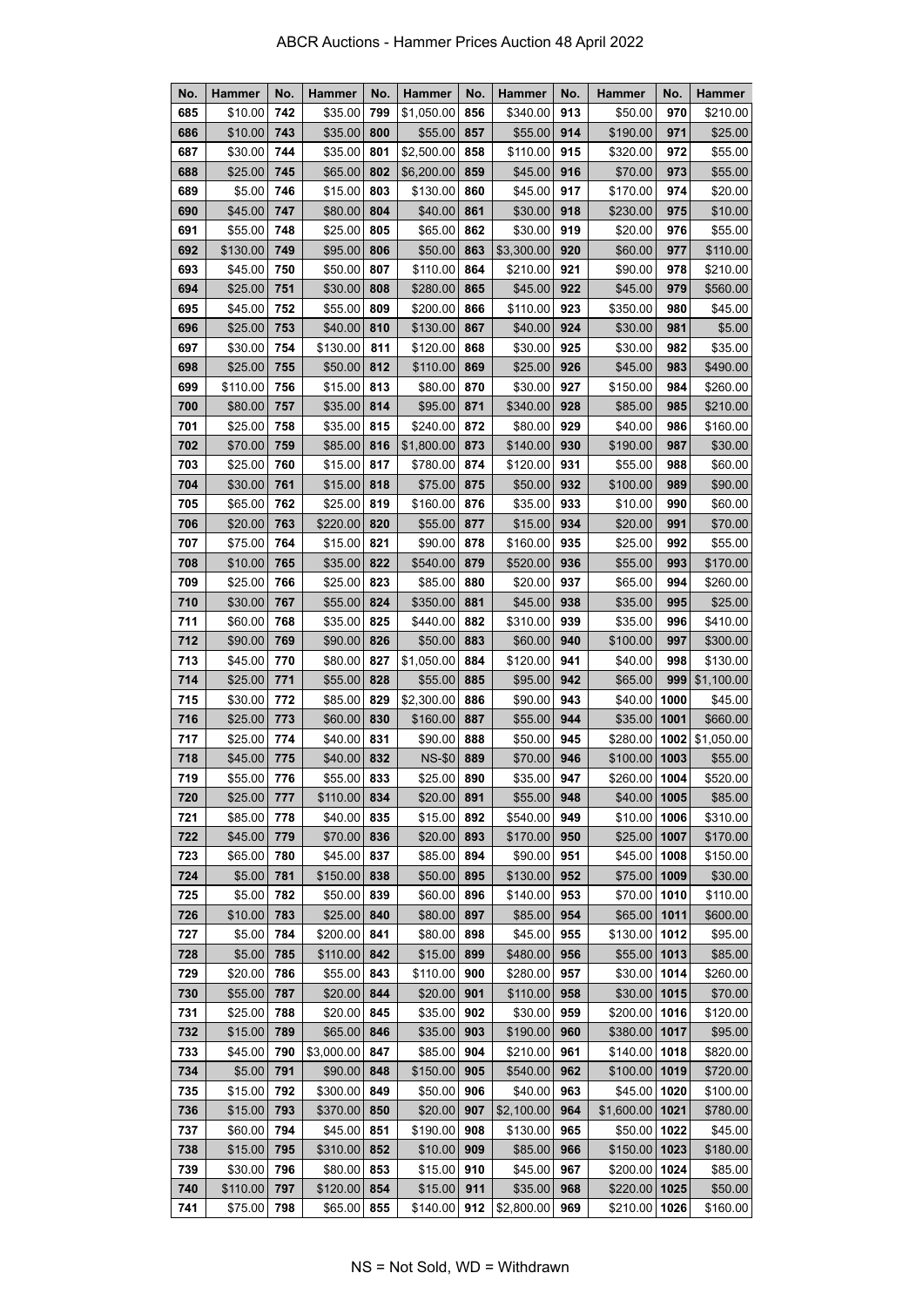| No. | <b>Hammer</b> | No. | Hammer     | No. | <b>Hammer</b> | No. | Hammer     | No. | Hammer         | No.  | <b>Hammer</b> |
|-----|---------------|-----|------------|-----|---------------|-----|------------|-----|----------------|------|---------------|
| 685 | \$10.00       | 742 | \$35.00    | 799 | \$1,050.00    | 856 | \$340.00   | 913 | \$50.00        | 970  | \$210.00      |
| 686 | \$10.00       | 743 | \$35.00    | 800 | \$55.00       | 857 | \$55.00    | 914 | \$190.00       | 971  | \$25.00       |
| 687 | \$30.00       | 744 | \$35.00    | 801 | \$2,500.00    | 858 | \$110.00   | 915 | \$320.00       | 972  | \$55.00       |
| 688 | \$25.00       | 745 | \$65.00    | 802 | \$6,200.00    | 859 | \$45.00    | 916 | \$70.00        | 973  | \$55.00       |
| 689 | \$5.00        | 746 | \$15.00    | 803 | \$130.00      | 860 | \$45.00    | 917 | \$170.00       | 974  | \$20.00       |
| 690 | \$45.00       | 747 | \$80.00    | 804 | \$40.00       | 861 | \$30.00    | 918 | \$230.00       | 975  | \$10.00       |
| 691 | \$55.00       | 748 | \$25.00    | 805 | \$65.00       | 862 | \$30.00    | 919 | \$20.00        | 976  | \$55.00       |
| 692 | \$130.00      | 749 | \$95.00    | 806 | \$50.00       | 863 | \$3,300.00 | 920 | \$60.00        | 977  | \$110.00      |
| 693 | \$45.00       | 750 | \$50.00    | 807 | \$110.00      | 864 | \$210.00   | 921 | \$90.00        | 978  | \$210.00      |
| 694 | \$25.00       | 751 | \$30.00    | 808 | \$280.00      | 865 | \$45.00    | 922 | \$45.00        | 979  | \$560.00      |
| 695 | \$45.00       | 752 | \$55.00    | 809 | \$200.00      | 866 | \$110.00   | 923 | \$350.00       | 980  | \$45.00       |
| 696 | \$25.00       | 753 | \$40.00    | 810 | \$130.00      | 867 | \$40.00    | 924 | \$30.00        | 981  | \$5.00        |
| 697 | \$30.00       | 754 | \$130.00   | 811 | \$120.00      | 868 | \$30.00    | 925 | \$30.00        | 982  | \$35.00       |
| 698 | \$25.00       | 755 | \$50.00    | 812 | \$110.00      | 869 | \$25.00    | 926 | \$45.00        | 983  | \$490.00      |
| 699 | \$110.00      | 756 | \$15.00    | 813 | \$80.00       | 870 | \$30.00    | 927 | \$150.00       | 984  | \$260.00      |
| 700 | \$80.00       | 757 | \$35.00    | 814 | \$95.00       | 871 | \$340.00   | 928 | \$85.00        | 985  | \$210.00      |
| 701 | \$25.00       | 758 | \$35.00    | 815 | \$240.00      | 872 | \$80.00    | 929 | \$40.00        | 986  | \$160.00      |
| 702 | \$70.00       | 759 | \$85.00    | 816 | \$1,800.00    | 873 | \$140.00   | 930 | \$190.00       | 987  | \$30.00       |
| 703 | \$25.00       | 760 | \$15.00    | 817 | \$780.00      | 874 | \$120.00   | 931 | \$55.00        | 988  | \$60.00       |
| 704 | \$30.00       | 761 | \$15.00    | 818 | \$75.00       | 875 | \$50.00    | 932 | \$100.00       | 989  | \$90.00       |
| 705 | \$65.00       | 762 | \$25.00    | 819 | \$160.00      | 876 | \$35.00    | 933 | \$10.00        | 990  | \$60.00       |
| 706 | \$20.00       | 763 | \$220.00   | 820 | \$55.00       | 877 | \$15.00    | 934 | \$20.00        | 991  | \$70.00       |
| 707 | \$75.00       | 764 | \$15.00    | 821 | \$90.00       | 878 | \$160.00   | 935 | \$25.00        | 992  | \$55.00       |
| 708 | \$10.00       | 765 | \$35.00    | 822 | \$540.00      | 879 | \$520.00   | 936 | \$55.00        | 993  | \$170.00      |
| 709 | \$25.00       | 766 | \$25.00    | 823 | \$85.00       | 880 | \$20.00    | 937 | \$65.00        | 994  | \$260.00      |
| 710 | \$30.00       | 767 | \$55.00    | 824 | \$350.00      | 881 | \$45.00    | 938 | \$35.00        | 995  | \$25.00       |
| 711 | \$60.00       | 768 | \$35.00    | 825 | \$440.00      | 882 | \$310.00   | 939 | \$35.00        | 996  | \$410.00      |
| 712 | \$90.00       | 769 | \$90.00    | 826 | \$50.00       | 883 | \$60.00    | 940 | \$100.00       | 997  | \$300.00      |
| 713 | \$45.00       | 770 | \$80.00    | 827 | \$1,050.00    | 884 | \$120.00   | 941 | \$40.00        | 998  | \$130.00      |
| 714 | \$25.00       | 771 | \$55.00    | 828 | \$55.00       | 885 | \$95.00    | 942 | \$65.00        | 999  | \$1,100.00    |
| 715 | \$30.00       | 772 | \$85.00    | 829 | \$2,300.00    | 886 | \$90.00    | 943 | \$40.00        | 1000 | \$45.00       |
| 716 | \$25.00       | 773 | \$60.00    | 830 | \$160.00      | 887 | \$55.00    | 944 | \$35.00        | 1001 | \$660.00      |
| 717 | \$25.00       | 774 | \$40.00    | 831 | \$90.00       | 888 | \$50.00    | 945 | \$280.00       | 1002 | \$1,050.00    |
| 718 | \$45.00       | 775 | \$40.00    | 832 | <b>NS-\$0</b> | 889 | \$70.00    | 946 | \$100.00       | 1003 | \$55.00       |
| 719 | \$55.00       | 776 | \$55.00    | 833 | \$25.00       | 890 | \$35.00    | 947 | \$260.00 1004  |      | \$520.00      |
| 720 | \$25.00       | 777 | \$110.00   | 834 | \$20.00       | 891 | \$55.00    | 948 | $$40.00 $ 1005 |      | \$85.00       |
| 721 | \$85.00       | 778 | \$40.00    | 835 | \$15.00       | 892 | \$540.00   | 949 | \$10.00        | 1006 | \$310.00      |
| 722 | \$45.00       | 779 | \$70.00    | 836 | \$20.00       | 893 | \$170.00   | 950 | $$25.00 $ 1007 |      | \$170.00      |
| 723 | \$65.00       | 780 | \$45.00    | 837 | \$85.00       | 894 | \$90.00    | 951 | \$45.00        | 1008 | \$150.00      |
| 724 | \$5.00        | 781 | \$150.00   | 838 | \$50.00       | 895 | \$130.00   | 952 | $$75.00 $ 1009 |      | \$30.00       |
| 725 | \$5.00        | 782 | \$50.00    | 839 | \$60.00       | 896 | \$140.00   | 953 | \$70.00        | 1010 | \$110.00      |
| 726 | \$10.00       | 783 | \$25.00    | 840 | \$80.00       | 897 | \$85.00    | 954 | \$65.00        | 1011 | \$600.00      |
| 727 | \$5.00        | 784 | \$200.00   | 841 | \$80.00       | 898 | \$45.00    | 955 | \$130.00       | 1012 | \$95.00       |
| 728 | \$5.00        | 785 | \$110.00   | 842 | \$15.00       | 899 | \$480.00   | 956 | \$55.00        | 1013 | \$85.00       |
| 729 | \$20.00       | 786 | \$55.00    | 843 | \$110.00      | 900 | \$280.00   | 957 | \$30.00        | 1014 | \$260.00      |
| 730 | \$55.00       | 787 | \$20.00    | 844 | \$20.00       | 901 | \$110.00   | 958 | $$30.00 $ 1015 |      | \$70.00       |
| 731 | \$25.00       | 788 | \$20.00    | 845 | \$35.00       | 902 | \$30.00    | 959 | \$200.00       | 1016 | \$120.00      |
| 732 | \$15.00       | 789 | \$65.00    | 846 | \$35.00       | 903 | \$190.00   | 960 | \$380.00 1017  |      | \$95.00       |
| 733 | \$45.00       | 790 | \$3,000.00 | 847 | \$85.00       | 904 | \$210.00   | 961 | \$140.00       | 1018 | \$820.00      |
| 734 | \$5.00        | 791 | \$90.00    | 848 | \$150.00      | 905 | \$540.00   | 962 | \$100.00       | 1019 | \$720.00      |
| 735 | \$15.00       | 792 | \$300.00   | 849 | \$50.00       | 906 | \$40.00    | 963 | \$45.00        | 1020 | \$100.00      |
| 736 | \$15.00       | 793 | \$370.00   | 850 | \$20.00       | 907 | \$2,100.00 | 964 | \$1,600.00     | 1021 | \$780.00      |
| 737 | \$60.00       | 794 | \$45.00    | 851 | \$190.00      | 908 | \$130.00   | 965 | \$50.00        | 1022 | \$45.00       |
| 738 | \$15.00       | 795 | \$310.00   | 852 | \$10.00       | 909 | \$85.00    | 966 | \$150.00       | 1023 | \$180.00      |
| 739 | \$30.00       | 796 | \$80.00    | 853 | \$15.00       | 910 | \$45.00    | 967 | \$200.00       | 1024 | \$85.00       |
| 740 | \$110.00      | 797 | \$120.00   | 854 | \$15.00       | 911 | \$35.00    | 968 | \$220.00       | 1025 | \$50.00       |
| 741 | \$75.00       | 798 | \$65.00    | 855 | \$140.00      | 912 | \$2,800.00 | 969 | \$210.00       | 1026 | \$160.00      |